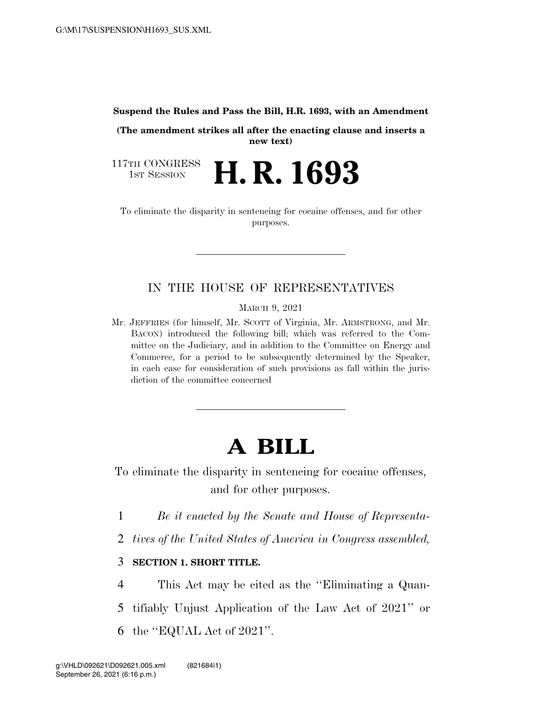#### **Suspend the Rules and Pass the Bill, H.R. 1693, with an Amendment**

**(The amendment strikes all after the enacting clause and inserts a new text)** 

117TH CONGRESS<br>1st Session **H. R. 1693** 

To eliminate the disparity in sentencing for cocaine offenses, and for other purposes.

## IN THE HOUSE OF REPRESENTATIVES

MARCH 9, 2021

Mr. JEFFRIES (for himself, Mr. SCOTT of Virginia, Mr. ARMSTRONG, and Mr. BACON) introduced the following bill; which was referred to the Committee on the Judiciary, and in addition to the Committee on Energy and Commerce, for a period to be subsequently determined by the Speaker, in each case for consideration of such provisions as fall within the jurisdiction of the committee concerned

# **A BILL**

To eliminate the disparity in sentencing for cocaine offenses, and for other purposes.

1 *Be it enacted by the Senate and House of Representa-*

2 *tives of the United States of America in Congress assembled,* 

### 3 **SECTION 1. SHORT TITLE.**

4 This Act may be cited as the ''Eliminating a Quan-5 tifiably Unjust Application of the Law Act of 2021'' or 6 the ''EQUAL Act of 2021''.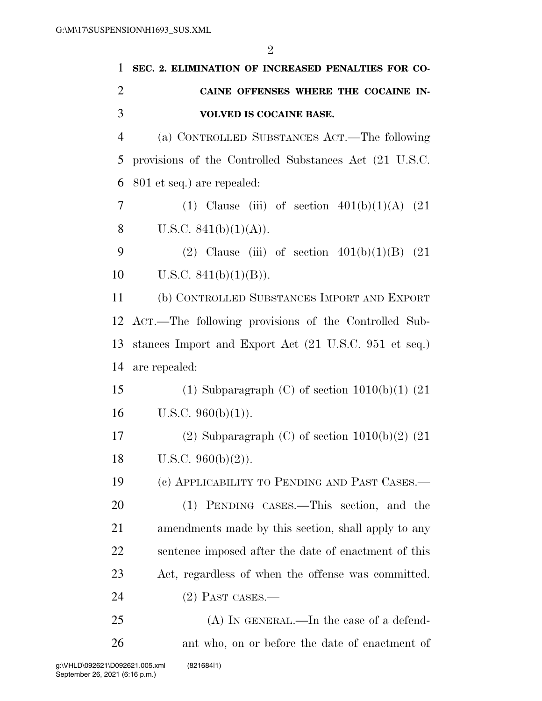| $\mathbf{1}$   | SEC. 2. ELIMINATION OF INCREASED PENALTIES FOR CO-     |
|----------------|--------------------------------------------------------|
| $\overline{2}$ | CAINE OFFENSES WHERE THE COCAINE IN-                   |
| 3              | <b>VOLVED IS COCAINE BASE.</b>                         |
| $\overline{4}$ | (a) CONTROLLED SUBSTANCES ACT.—The following           |
| 5              | provisions of the Controlled Substances Act (21 U.S.C. |
| 6              | 801 et seq.) are repealed:                             |
| 7              | (1) Clause (iii) of section $401(b)(1)(A)$ (21)        |
| 8              | U.S.C. $841(b)(1)(A)$ .                                |
| 9              | (2) Clause (iii) of section $401(b)(1)(B)$ (21)        |
| 10             | U.S.C. $841(b)(1)(B)$ .                                |
| 11             | (b) CONTROLLED SUBSTANCES IMPORT AND EXPORT            |
| 12             | ACT.—The following provisions of the Controlled Sub-   |
| 13             | stances Import and Export Act (21 U.S.C. 951 et seq.)  |
| 14             | are repealed:                                          |
| 15             | (1) Subparagraph (C) of section $1010(b)(1)$ (21)      |
| 16             | U.S.C. $960(b)(1)$ ).                                  |
| 17             | (2) Subparagraph (C) of section $1010(b)(2)$ (21)      |
| 18             | U.S.C. $960(b)(2)$ ).                                  |
| 19             | (c) APPLICABILITY TO PENDING AND PAST CASES.—          |
| 20             | (1) PENDING CASES.—This section, and the               |
| 21             | amendments made by this section, shall apply to any    |
| 22             | sentence imposed after the date of enactment of this   |
| 23             | Act, regardless of when the offense was committed.     |
| 24             | $(2)$ Past cases.—                                     |
| 25             | $(A)$ In GENERAL.—In the case of a defend-             |
| 26             | ant who, on or before the date of enactment of         |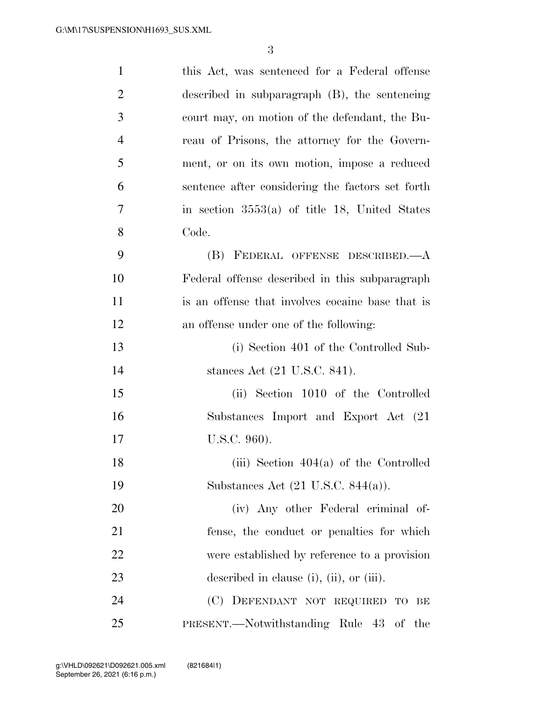| $\mathbf{1}$   | this Act, was sentenced for a Federal offense     |
|----------------|---------------------------------------------------|
| $\overline{2}$ | described in subparagraph $(B)$ , the sentencing  |
| 3              | court may, on motion of the defendant, the Bu-    |
| $\overline{4}$ | reau of Prisons, the attorney for the Govern-     |
| 5              | ment, or on its own motion, impose a reduced      |
| 6              | sentence after considering the factors set forth  |
| 7              | in section $3553(a)$ of title 18, United States   |
| 8              | Code.                                             |
| 9              | (B) FEDERAL OFFENSE DESCRIBED.- A                 |
| 10             | Federal offense described in this subparagraph    |
| 11             | is an offense that involves cocaine base that is  |
| 12             | an offense under one of the following:            |
| 13             | (i) Section 401 of the Controlled Sub-            |
| 14             | stances Act (21 U.S.C. 841).                      |
| 15             | (ii) Section 1010 of the Controlled               |
| 16             | Substances Import and Export Act (21)             |
| 17             | U.S.C. 960).                                      |
| 18             | (iii) Section $404(a)$ of the Controlled          |
| 19             | Substances Act $(21 \text{ U.S.C. } 844(a))$ .    |
| 20             | (iv) Any other Federal criminal of-               |
| 21             | fense, the conduct or penalties for which         |
| 22             | were established by reference to a provision      |
| 23             | described in clause $(i)$ , $(ii)$ , or $(iii)$ . |
| 24             | (C) DEFENDANT NOT REQUIRED TO BE                  |
| 25             | PRESENT.—Notwithstanding Rule 43 of<br>the        |